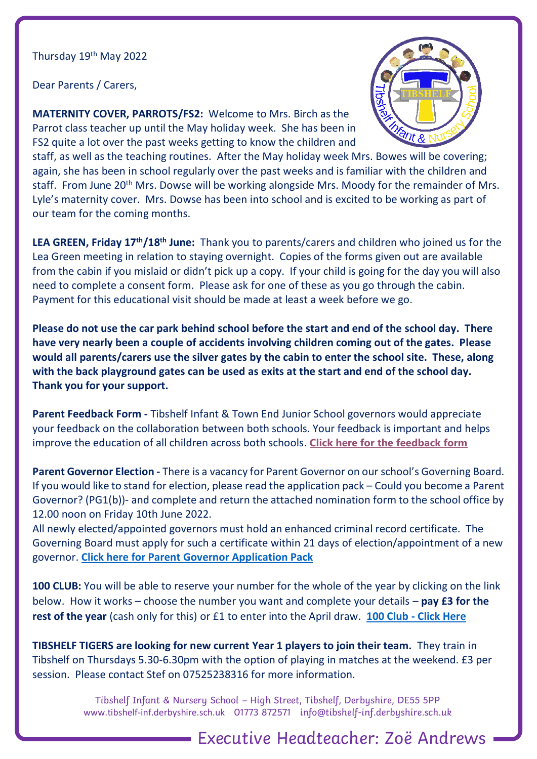## Thursday 19<sup>th</sup> May 2022

Dear Parents / Carers,

**MATERNITY COVER, PARROTS/FS2:** Welcome to Mrs. Birch as the Parrot class teacher up until the May holiday week. She has been in FS2 quite a lot over the past weeks getting to know the children and



staff, as well as the teaching routines. After the May holiday week Mrs. Bowes will be covering; again, she has been in school regularly over the past weeks and is familiar with the children and staff. From June 20<sup>th</sup> Mrs. Dowse will be working alongside Mrs. Moody for the remainder of Mrs. Lyle's maternity cover. Mrs. Dowse has been into school and is excited to be working as part of our team for the coming months.

**LEA GREEN, Friday 17th/18th June:** Thank you to parents/carers and children who joined us for the Lea Green meeting in relation to staying overnight. Copies of the forms given out are available from the cabin if you mislaid or didn't pick up a copy. If your child is going for the day you will also need to complete a consent form. Please ask for one of these as you go through the cabin. Payment for this educational visit should be made at least a week before we go.

**Please do not use the car park behind school before the start and end of the school day. There have very nearly been a couple of accidents involving children coming out of the gates. Please would all parents/carers use the silver gates by the cabin to enter the school site. These, along with the back playground gates can be used as exits at the start and end of the school day. Thank you for your support.**

**Parent Feedback Form -** Tibshelf Infant & Town End Junior School governors would appreciate your feedback on the collaboration between both schools. Your feedback is important and helps improve the education of all children across both schools. **[Click here for the feedback form](https://forms.office.com/r/Kfc3dpY4Hh)**

**Parent Governor Election -** There is a vacancy for Parent Governor on our school's Governing Board. If you would like to stand for election, please read the application pack – Could you become a Parent Governor? (PG1(b))- and complete and return the attached nomination form to the school office by 12.00 noon on Friday 10th June 2022.

All newly elected/appointed governors must hold an enhanced criminal record certificate. The Governing Board must apply for such a certificate within 21 days of election/appointment of a new governor. **[Click here for Parent Governor Application Pack](https://www.tibshelf-inf.derbyshire.sch.uk/wp-content/uploads/2022/05/Parent-Governor-Election.pdf)**

**100 CLUB:** You will be able to reserve your number for the whole of the year by clicking on the link below. How it works – choose the number you want and complete your details – **pay £3 for the rest of the year** (cash only for this) or £1 to enter into the April draw. **100 Club - [Click Here](https://tibshelf-inf.derbyshire.sch.uk/wp/?seatreg=registration&c=8454a84299)**

**TIBSHELF TIGERS are looking for new current Year 1 players to join their team.** They train in Tibshelf on Thursdays 5.30-6.30pm with the option of playing in matches at the weekend. £3 per session. Please contact Stef on 07525238316 for more information.

> Tibshelf Infant & Nursery School – High Street, Tibshelf, Derbyshire, DE55 5PP [www.tibshelf-inf.derbyshire.sch.uk](http://www.tibshelf-inf.derbyshire.sch.uk/) 01773 872571 info@tibshelf-inf.derbyshire.sch.uk

> > Executive Headteacher: Zoë Andrews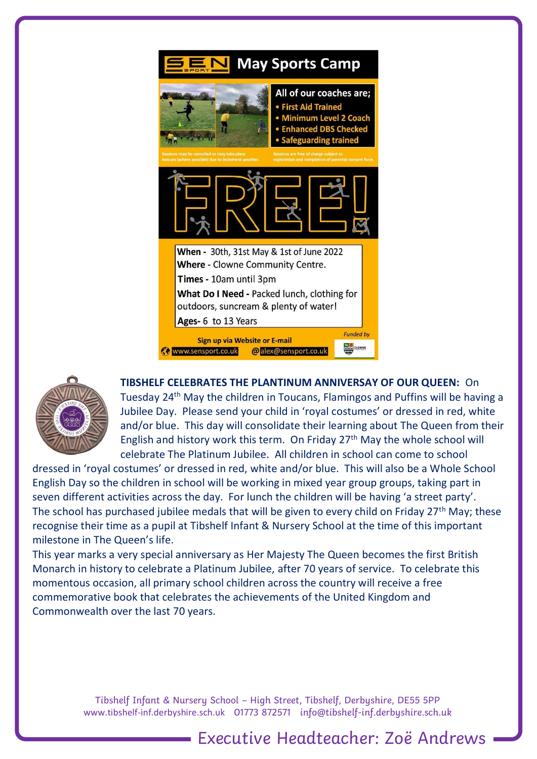



**TIBSHELF CELEBRATES THE PLANTINUM ANNIVERSAY OF OUR QUEEN:** On Tuesday 24th May the children in Toucans, Flamingos and Puffins will be having a Jubilee Day. Please send your child in 'royal costumes' or dressed in red, white and/or blue. This day will consolidate their learning about The Queen from their English and history work this term. On Friday 27th May the whole school will celebrate The Platinum Jubilee. All children in school can come to school

dressed in 'royal costumes' or dressed in red, white and/or blue. This will also be a Whole School English Day so the children in school will be working in mixed year group groups, taking part in seven different activities across the day. For lunch the children will be having 'a street party'. The school has purchased jubilee medals that will be given to every child on Friday 27<sup>th</sup> May; these recognise their time as a pupil at Tibshelf Infant & Nursery School at the time of this important milestone in The Queen's life.

This year marks a very special anniversary as Her Majesty The Queen becomes the first British Monarch in history to celebrate a Platinum Jubilee, after 70 years of service. To celebrate this momentous occasion, all primary school children across the country will receive a free commemorative book that celebrates the achievements of the United Kingdom and Commonwealth over the last 70 years.

> Tibshelf Infant & Nursery School – High Street, Tibshelf, Derbyshire, DE55 5PP [www.tibshelf-inf.derbyshire.sch.uk](http://www.tibshelf-inf.derbyshire.sch.uk/) 01773 872571 info@tibshelf-inf.derbyshire.sch.uk

> > Executive Headteacher: Zoë Andrews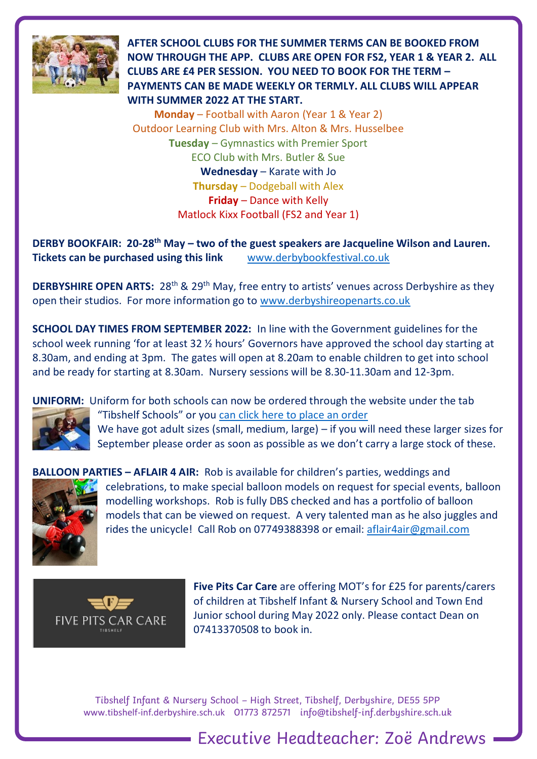

**AFTER SCHOOL CLUBS FOR THE SUMMER TERMS CAN BE BOOKED FROM NOW THROUGH THE APP. CLUBS ARE OPEN FOR FS2, YEAR 1 & YEAR 2. ALL CLUBS ARE £4 PER SESSION. YOU NEED TO BOOK FOR THE TERM – PAYMENTS CAN BE MADE WEEKLY OR TERMLY. ALL CLUBS WILL APPEAR WITH SUMMER 2022 AT THE START.** 

**Monday** – Football with Aaron (Year 1 & Year 2) Outdoor Learning Club with Mrs. Alton & Mrs. Husselbee **Tuesday** – Gymnastics with Premier Sport ECO Club with Mrs. Butler & Sue **Wednesday** – Karate with Jo **Thursday** – Dodgeball with Alex **Friday** – Dance with Kelly Matlock Kixx Football (FS2 and Year 1)

**DERBY BOOKFAIR: 20-28th May – two of the guest speakers are Jacqueline Wilson and Lauren. Tickets can be purchased using this link** [www.derbybookfestival.co.uk](http://www.derbybookfestival.co.uk/)

**DERBYSHIRE OPEN ARTS:** 28<sup>th</sup> & 29<sup>th</sup> May, free entry to artists' venues across Derbyshire as they open their studios. For more information go to [www.derbyshireopenarts.co.uk](http://www.derbyshireopenarts.co.uk/)

**SCHOOL DAY TIMES FROM SEPTEMBER 2022:** In line with the Government guidelines for the school week running 'for at least 32 ½ hours' Governors have approved the school day starting at 8.30am, and ending at 3pm. The gates will open at 8.20am to enable children to get into school and be ready for starting at 8.30am. Nursery sessions will be 8.30-11.30am and 12-3pm.

**UNIFORM:** Uniform for both schools can now be ordered through the website under the tab



"Tibshelf Schools" or you [can click here to place an order](https://tibshelf-inf.derbyshire.sch.uk/wp/shop/) We have got adult sizes (small, medium, large) – if you will need these larger sizes for September please order as soon as possible as we don't carry a large stock of these.



**BALLOON PARTIES – AFLAIR 4 AIR:** Rob is available for children's parties, weddings and celebrations, to make special balloon models on request for special events, balloon modelling workshops. Rob is fully DBS checked and has a portfolio of balloon models that can be viewed on request. A very talented man as he also juggles and rides the unicycle! Call Rob on 07749388398 or email: [aflair4air@gmail.com](mailto:aflair4air@gmail.com) 



**Five Pits Car Care** are offering MOT's for £25 for parents/carers of children at Tibshelf Infant & Nursery School and Town End Junior school during May 2022 only. Please contact Dean on 07413370508 to book in.

Executive Headteacher: Zoë Andrews

Tibshelf Infant & Nursery School – High Street, Tibshelf, Derbyshire, DE55 5PP [www.tibshelf-inf.derbyshire.sch.uk](http://www.tibshelf-inf.derbyshire.sch.uk/) 01773 872571 info@tibshelf-inf.derbyshire.sch.uk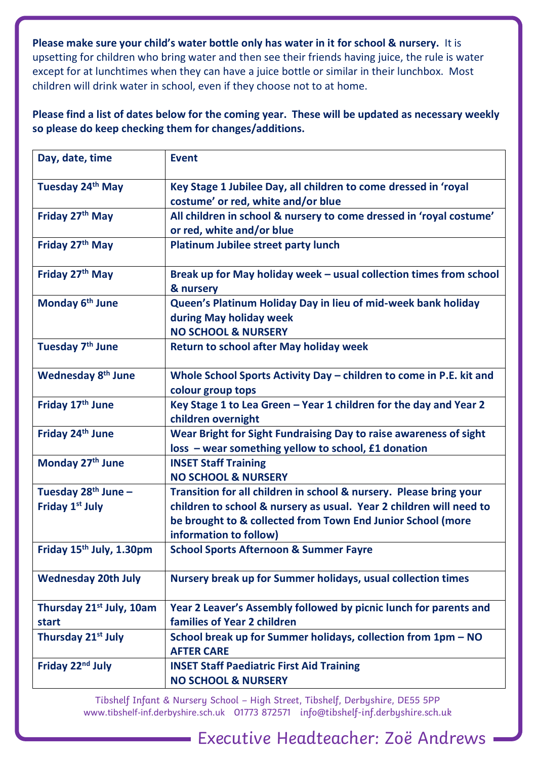**Please make sure your child's water bottle only has water in it for school & nursery.** It is upsetting for children who bring water and then see their friends having juice, the rule is water except for at lunchtimes when they can have a juice bottle or similar in their lunchbox. Most children will drink water in school, even if they choose not to at home.

**Please find a list of dates below for the coming year. These will be updated as necessary weekly so please do keep checking them for changes/additions.** 

| Day, date, time                      | <b>Event</b>                                                                                          |
|--------------------------------------|-------------------------------------------------------------------------------------------------------|
| Tuesday 24 <sup>th</sup> May         | Key Stage 1 Jubilee Day, all children to come dressed in 'royal<br>costume' or red, white and/or blue |
| Friday 27th May                      | All children in school & nursery to come dressed in 'royal costume'                                   |
|                                      | or red, white and/or blue                                                                             |
| Friday 27th May                      | <b>Platinum Jubilee street party lunch</b>                                                            |
| Friday 27th May                      | Break up for May holiday week - usual collection times from school<br>& nursery                       |
| Monday 6 <sup>th</sup> June          | Queen's Platinum Holiday Day in lieu of mid-week bank holiday                                         |
|                                      | during May holiday week                                                                               |
|                                      | <b>NO SCHOOL &amp; NURSERY</b>                                                                        |
| Tuesday 7 <sup>th</sup> June         | <b>Return to school after May holiday week</b>                                                        |
| <b>Wednesday 8th June</b>            | Whole School Sports Activity Day - children to come in P.E. kit and                                   |
|                                      | colour group tops                                                                                     |
| Friday 17th June                     | Key Stage 1 to Lea Green - Year 1 children for the day and Year 2                                     |
|                                      | children overnight                                                                                    |
| Friday 24 <sup>th</sup> June         | Wear Bright for Sight Fundraising Day to raise awareness of sight                                     |
|                                      | loss - wear something yellow to school, £1 donation                                                   |
| Monday 27th June                     | <b>INSET Staff Training</b>                                                                           |
|                                      | <b>NO SCHOOL &amp; NURSERY</b>                                                                        |
| Tuesday $28th$ June -                | Transition for all children in school & nursery. Please bring your                                    |
| <b>Friday 1st July</b>               | children to school & nursery as usual. Year 2 children will need to                                   |
|                                      | be brought to & collected from Town End Junior School (more                                           |
|                                      | information to follow)                                                                                |
| Friday 15 <sup>th</sup> July, 1.30pm | <b>School Sports Afternoon &amp; Summer Fayre</b>                                                     |
| <b>Wednesday 20th July</b>           | Nursery break up for Summer holidays, usual collection times                                          |
| Thursday 21 <sup>st</sup> July, 10am | Year 2 Leaver's Assembly followed by picnic lunch for parents and                                     |
| start                                | families of Year 2 children                                                                           |
| Thursday 21 <sup>st</sup> July       | School break up for Summer holidays, collection from 1pm - NO                                         |
|                                      | <b>AFTER CARE</b>                                                                                     |
| Friday 22 <sup>nd</sup> July         | <b>INSET Staff Paediatric First Aid Training</b>                                                      |
|                                      | <b>NO SCHOOL &amp; NURSERY</b>                                                                        |

Tibshelf Infant & Nursery School – High Street, Tibshelf, Derbyshire, DE55 5PP [www.tibshelf-inf.derbyshire.sch.uk](http://www.tibshelf-inf.derbyshire.sch.uk/) 01773 872571 info@tibshelf-inf.derbyshire.sch.uk